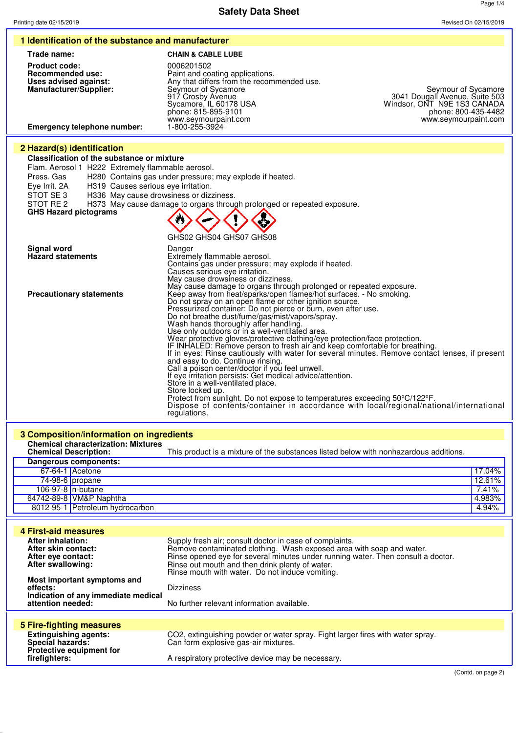Page 1/4 **Safety Data Sheet** Printing date 02/15/2019 Revised On 02/15/2019 **1 Identification of the substance and manufacturer Trade name: CHAIN & CABLE LUBE Product code:** 0006201502<br> **Recommended use:** Paint and co **Recommended use:**<br> **Recommended use:**<br> **Recommended against:**<br> **Paint and coating applications.**<br>
Any that differs from the recom **Uses advised against:** Any that differs from the recommended use. **Manufacturer/Supplier:** Seymour of Sycamore Seymour of Sycamore Seymour of Sycamore 917 Crosby Avenue 3041 Dougall Avenue, Suite 503 Sycamore, IL 60178 USA Windsor, ONT N9E 1S3 CANADA phone: 815-895-9101 phone: 800-435-4482 917 Crosby Avenue 3041 Dougall Avenue, Suite 503<br>Sycamore, IL 60178 USA Mindsor, ONT N9E 1S3 CANADA<br>phone: 815-895-9101 phone: 800-435-4482<br>www.seymourpaint.com<br>1-800-255-3924 Flam. Aerosol 1 H222 Extremely flammable aerosol.

Press. Gas H280 Contains gas under pressure; may explode if heated.<br>Eye Irrit. 2A H319 Causes serious eye irritation. Eye Irrit. 2A H319 Causes serious eye irritation.<br>STOT SE 3 H336 May cause drowsiness or diza

**Classification of the substance or mixture**

**Emergency telephone number:** 

**2 Hazard(s) identification**

STOT SE 3 H336 May cause drowsiness or dizziness.<br>STOT RE 2 H373 May cause damage to organs throug

H373 May cause damage to organs through prolonged or repeated exposure. **GHS Hazard pictograms**

|                                         | GHS02 GHS04 GHS07 GHS08                                                                                                                                                                                                                                                                                                                                                                                                                                                                                                                                                                                                                                                                                                                                                                                                                                                                                                                                                                                           |
|-----------------------------------------|-------------------------------------------------------------------------------------------------------------------------------------------------------------------------------------------------------------------------------------------------------------------------------------------------------------------------------------------------------------------------------------------------------------------------------------------------------------------------------------------------------------------------------------------------------------------------------------------------------------------------------------------------------------------------------------------------------------------------------------------------------------------------------------------------------------------------------------------------------------------------------------------------------------------------------------------------------------------------------------------------------------------|
| Signal word<br><b>Hazard statements</b> | Danger<br>Extremely flammable aerosol.<br>Contains gas under pressure; may explode if heated.<br>Causes serious eye irritation.<br>May cause drowsiness or dizziness.<br>May cause damage to organs through prolonged or repeated exposure.                                                                                                                                                                                                                                                                                                                                                                                                                                                                                                                                                                                                                                                                                                                                                                       |
| <b>Precautionary statements</b>         | Keep away from heat/sparks/open flames/hot surfaces. - No smoking.<br>Do not spray on an open flame or other ignition source.<br>Pressurized container: Do not pierce or burn, even after use.<br>Do not breathe dust/fume/gas/mist/vapors/spray.<br>Wash hands thoroughly after handling.<br>Use only outdoors or in a well-ventilated area.<br>Wear protective gloves/protective clothing/eye protection/face protection.<br>IF INHALED: Remove person to fresh air and keep comfortable for breathing.<br>If in eyes: Rinse cautiously with water for several minutes. Remove contact lenses, if present<br>and easy to do. Continue rinsing.<br>Call a poison center/doctor if you feel unwell.<br>If eye irritation persists: Get medical advice/attention.<br>Store in a well-ventilated place.<br>Store locked up.<br>Protect from sunlight. Do not expose to temperatures exceeding 50°C/122°F.<br>Dispose of contents/container in accordance with local/regional/national/international<br>regulations. |

| 3 Composition/information on ingredients                                                   |                                                                                                                                                                                                                                                                                                                           |        |
|--------------------------------------------------------------------------------------------|---------------------------------------------------------------------------------------------------------------------------------------------------------------------------------------------------------------------------------------------------------------------------------------------------------------------------|--------|
| <b>Chemical characterization: Mixtures</b><br><b>Chemical Description:</b>                 | This product is a mixture of the substances listed below with nonhazardous additions.                                                                                                                                                                                                                                     |        |
| Dangerous components:                                                                      |                                                                                                                                                                                                                                                                                                                           |        |
| 67-64-1 Acetone                                                                            |                                                                                                                                                                                                                                                                                                                           | 17.04% |
| 74-98-6 propane                                                                            |                                                                                                                                                                                                                                                                                                                           | 12.61% |
| 106-97-8 $n$ -butane                                                                       |                                                                                                                                                                                                                                                                                                                           | 7.41%  |
| 64742-89-8 VM&P Naphtha                                                                    |                                                                                                                                                                                                                                                                                                                           | 4.983% |
| 8012-95-1 Petroleum hydrocarbon                                                            |                                                                                                                                                                                                                                                                                                                           | 4.94%  |
|                                                                                            |                                                                                                                                                                                                                                                                                                                           |        |
| 4 First-aid measures                                                                       |                                                                                                                                                                                                                                                                                                                           |        |
| <b>After inhalation:</b><br>After skin contact:<br>After eye contact:<br>After swallowing: | Supply fresh air; consult doctor in case of complaints.<br>Remove contaminated clothing. Wash exposed area with soap and water.<br>Rinse opened eye for several minutes under running water. Then consult a doctor.<br>Rinse out mouth and then drink plenty of water.<br>Rinse mouth with water. Do not induce vomiting. |        |
| Most important symptoms and<br>effects:<br>Indication of any immediate medical             | <b>Dizziness</b>                                                                                                                                                                                                                                                                                                          |        |
| attention needed:                                                                          | No further relevant information available.                                                                                                                                                                                                                                                                                |        |
| 5 Fire-fighting measures                                                                   |                                                                                                                                                                                                                                                                                                                           |        |
| <b>Extinguishing agents:</b><br>Special hazards:                                           | CO2, extinguishing powder or water spray. Fight larger fires with water spray.<br>Can form explosive gas-air mixtures.                                                                                                                                                                                                    |        |
| Protective equipment for<br>firefighters:                                                  | A respiratory protective device may be necessary.                                                                                                                                                                                                                                                                         |        |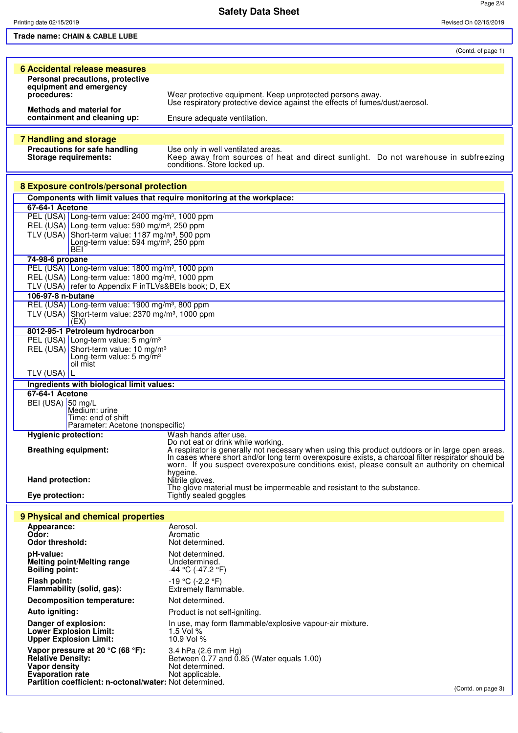Printing date 02/15/2019 Revised On 02/15/2019

Page 2/4

**Trade name: CHAIN & CABLE LUBE**

(Contd. of page 1)

|                                                                                    | (Conta. or page 1)                                                                                                                                                                               |
|------------------------------------------------------------------------------------|--------------------------------------------------------------------------------------------------------------------------------------------------------------------------------------------------|
| <b>6 Accidental release measures</b>                                               |                                                                                                                                                                                                  |
| Personal precautions, protective                                                   |                                                                                                                                                                                                  |
| equipment and emergency                                                            |                                                                                                                                                                                                  |
| procedures:                                                                        | Wear protective equipment. Keep unprotected persons away.<br>Use respiratory protective device against the effects of fumes/dust/aerosol.                                                        |
| Methods and material for                                                           |                                                                                                                                                                                                  |
| containment and cleaning up:                                                       | Ensure adequate ventilation.                                                                                                                                                                     |
|                                                                                    |                                                                                                                                                                                                  |
| <b>7 Handling and storage</b>                                                      |                                                                                                                                                                                                  |
| Precautions for safe handling                                                      | Use only in well ventilated areas.                                                                                                                                                               |
| <b>Storage requirements:</b>                                                       | Keep away from sources of heat and direct sunlight. Do not warehouse in subfreezing<br>conditions. Store locked up.                                                                              |
|                                                                                    |                                                                                                                                                                                                  |
| 8 Exposure controls/personal protection                                            |                                                                                                                                                                                                  |
|                                                                                    | Components with limit values that require monitoring at the workplace:                                                                                                                           |
| 67-64-1 Acetone<br>PEL (USA) Long-term value: 2400 mg/m <sup>3</sup> , 1000 ppm    |                                                                                                                                                                                                  |
| REL (USA) Long-term value: 590 mg/m <sup>3</sup> , 250 ppm                         |                                                                                                                                                                                                  |
| TLV (USA) Short-term value: 1187 mg/m <sup>3</sup> , 500 ppm                       |                                                                                                                                                                                                  |
| Long-term value: 594 mg/m <sup>3</sup> , 250 ppm                                   |                                                                                                                                                                                                  |
| <b>BEI</b>                                                                         |                                                                                                                                                                                                  |
| 74-98-6 propane                                                                    |                                                                                                                                                                                                  |
| PEL (USA) Long-term value: 1800 mg/m <sup>3</sup> , 1000 ppm                       |                                                                                                                                                                                                  |
| REL (USA) Long-term value: 1800 mg/m <sup>3</sup> , 1000 ppm                       |                                                                                                                                                                                                  |
| TLV (USA) refer to Appendix F inTLVs&BEIs book; D, EX                              |                                                                                                                                                                                                  |
| 106-97-8 n-butane                                                                  |                                                                                                                                                                                                  |
| REL (USA) Long-term value: 1900 mg/m <sup>3</sup> , 800 ppm                        |                                                                                                                                                                                                  |
| TLV (USA) Short-term value: $2370$ mg/m <sup>3</sup> , 1000 ppm<br>(EX)            |                                                                                                                                                                                                  |
| 8012-95-1 Petroleum hydrocarbon                                                    |                                                                                                                                                                                                  |
| PEL (USA) Long-term value: 5 mg/m <sup>3</sup>                                     |                                                                                                                                                                                                  |
| REL (USA) Short-term value: 10 mg/m <sup>3</sup>                                   |                                                                                                                                                                                                  |
| Long-term value: $5 \text{ mg/m}^3$                                                |                                                                                                                                                                                                  |
| oil mist                                                                           |                                                                                                                                                                                                  |
| TLV (USA) L                                                                        |                                                                                                                                                                                                  |
| Ingredients with biological limit values:                                          |                                                                                                                                                                                                  |
| 67-64-1 Acetone                                                                    |                                                                                                                                                                                                  |
| BEI (USA) 50 mg/L                                                                  |                                                                                                                                                                                                  |
| Medium: urine<br>Time: end of shift                                                |                                                                                                                                                                                                  |
| Parameter: Acetone (nonspecific)                                                   |                                                                                                                                                                                                  |
| <b>Hygienic protection:</b>                                                        | Wash hands after use.                                                                                                                                                                            |
|                                                                                    | Do not eat or drink while working.                                                                                                                                                               |
| <b>Breathing equipment:</b>                                                        | A respirator is generally not necessary when using this product outdoors or in large open areas.                                                                                                 |
|                                                                                    | In cases where short and/or long term overexposure exists, a charcoal filter respirator should be<br>worn. If you suspect overexposure conditions exist, please consult an authority on chemical |
|                                                                                    | hygeine.                                                                                                                                                                                         |
| Hand protection:                                                                   | Nitrile gloves.                                                                                                                                                                                  |
| Eye protection:                                                                    | The glove material must be impermeable and resistant to the substance.<br>Tightly sealed goggles                                                                                                 |
|                                                                                    |                                                                                                                                                                                                  |
| 9 Physical and chemical properties                                                 |                                                                                                                                                                                                  |
| Appearance:                                                                        | Aerosol.                                                                                                                                                                                         |
| Odor:                                                                              | Aromatic                                                                                                                                                                                         |
| <b>Odor threshold:</b>                                                             | Not determined.                                                                                                                                                                                  |
| pH-value:                                                                          | Not determined.                                                                                                                                                                                  |
| Melting point/Melting range<br><b>Boiling point:</b>                               | Undetermined.<br>$-44$ °C (-47.2 °F)                                                                                                                                                             |
|                                                                                    |                                                                                                                                                                                                  |
| Flash point:<br>Flammability (solid, gas):                                         | $-19 °C$ (-2.2 °F)<br>Extremely flammable.                                                                                                                                                       |
|                                                                                    |                                                                                                                                                                                                  |
| <b>Decomposition temperature:</b>                                                  | Not determined.                                                                                                                                                                                  |
| Auto igniting:                                                                     | Product is not self-igniting.                                                                                                                                                                    |
| Danger of explosion:                                                               | In use, may form flammable/explosive vapour-air mixture.                                                                                                                                         |
| <b>Lower Explosion Limit:</b>                                                      | 1.5 Vol $%$                                                                                                                                                                                      |
| <b>Upper Explosion Limit:</b>                                                      | 10.9 Vol %                                                                                                                                                                                       |
| Vapor pressure at 20 °C (68 °F):                                                   | 3.4 hPa (2.6 mm Hg)                                                                                                                                                                              |
| <b>Relative Density:</b>                                                           | Between 0.77 and 0.85 (Water equals 1.00)                                                                                                                                                        |
| Vapor density                                                                      | Not determined.                                                                                                                                                                                  |
| <b>Evaporation rate</b><br>Partition coefficient: n-octonal/water: Not determined. | Not applicable.                                                                                                                                                                                  |
|                                                                                    | (Contd. on page 3)                                                                                                                                                                               |
|                                                                                    |                                                                                                                                                                                                  |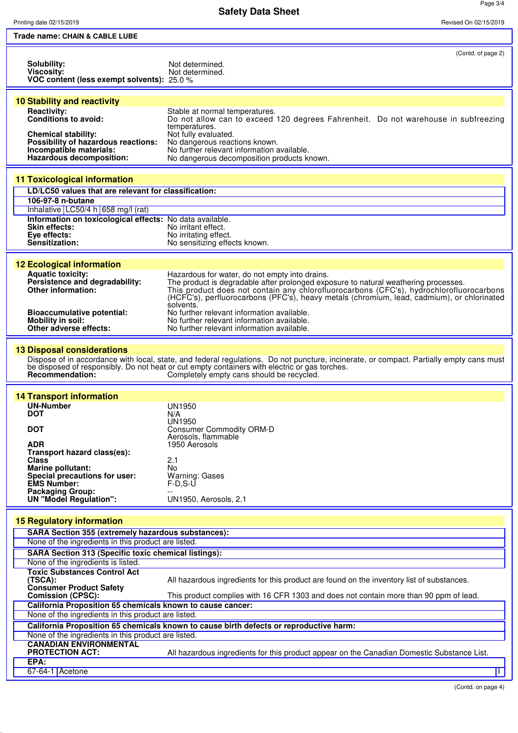**Safety Data Sheet**

Printing date 02/15/2019 Revised On 02/15/2019

| Trade name: CHAIN & CABLE LUBE                                                                                                                                         |                                                                                                                                                                                                                                                                                                                                             |
|------------------------------------------------------------------------------------------------------------------------------------------------------------------------|---------------------------------------------------------------------------------------------------------------------------------------------------------------------------------------------------------------------------------------------------------------------------------------------------------------------------------------------|
| <b>Solubility:</b><br>Viscosity:<br>VOC content (less exempt solvents): 25.0 %                                                                                         | (Contd. of page 2)<br>Not determined.<br>Not determined.                                                                                                                                                                                                                                                                                    |
| <b>10 Stability and reactivity</b>                                                                                                                                     |                                                                                                                                                                                                                                                                                                                                             |
| <b>Reactivity:</b><br>Conditions to avoid:<br><b>Chemical stability:</b><br>Possibility of hazardous reactions:<br>Incompatible materials:<br>Hazardous decomposition: | Stable at normal temperatures.<br>Do not allow can to exceed 120 degrees Fahrenheit. Do not warehouse in subfreezing<br>temperatures.<br>Not fully evaluated.<br>No dangerous reactions known.<br>No further relevant information available.<br>No dangerous decomposition products known.                                                  |
| <b>11 Toxicological information</b>                                                                                                                                    |                                                                                                                                                                                                                                                                                                                                             |
| LD/LC50 values that are relevant for classification:                                                                                                                   |                                                                                                                                                                                                                                                                                                                                             |
| 106-97-8 n-butane                                                                                                                                                      |                                                                                                                                                                                                                                                                                                                                             |
| Inhalative LC50/4 h 658 mg/l (rat)<br>Information on toxicological effects: No data available.<br><b>Skin effects:</b><br>Eye effects:<br>Sensitization:               | No irritant effect.<br>No irritating effect.<br>No sensitizing effects known.                                                                                                                                                                                                                                                               |
| <b>12 Ecological information</b>                                                                                                                                       |                                                                                                                                                                                                                                                                                                                                             |
| <b>Aquatic toxicity:</b><br>Persistence and degradability:<br>Other information:                                                                                       | Hazardous for water, do not empty into drains.<br>The product is degradable after prolonged exposure to natural weathering processes.<br>This product does not contain any chlorofluorocarbons (CFC's), hydrochlorofluorocarbons<br>(HCFC's), perfluorocarbons (PFC's), heavy metals (chromium, lead, cadmium), or chlorinated<br>solvents. |
| <b>Bioaccumulative potential:</b><br><b>Mobility in soil:</b><br>Other adverse effects:                                                                                | No further relevant information available.<br>No further relevant information available.<br>No further relevant information available.                                                                                                                                                                                                      |
| <b>13 Disposal considerations</b><br>Recommendation:                                                                                                                   | Dispose of in accordance with local, state, and federal regulations. Do not puncture, incinerate, or compact. Partially empty cans must<br>be disposed of responsibly. Do not heat or cut empty containers with electric or gas torches.<br>Completely empty cans should be recycled.                                                       |
| <b>14 Transport information</b>                                                                                                                                        |                                                                                                                                                                                                                                                                                                                                             |
| <b>UN-Number</b>                                                                                                                                                       | <b>UN1950</b>                                                                                                                                                                                                                                                                                                                               |
| <b>DOT</b>                                                                                                                                                             | N/A<br>UN1950                                                                                                                                                                                                                                                                                                                               |
| <b>DOT</b>                                                                                                                                                             | <b>Consumer Commodity ORM-D</b><br>Aerosols, flammable                                                                                                                                                                                                                                                                                      |
| <b>ADR</b><br>Transport hazard class(es):                                                                                                                              | 1950 Aerosols                                                                                                                                                                                                                                                                                                                               |
| <b>Class</b>                                                                                                                                                           | 2.1                                                                                                                                                                                                                                                                                                                                         |
| Marine pollutant:<br>Special precautions for user:<br><b>EMS Number:</b><br><b>Packaging Group:</b>                                                                    | No<br>Warning: Gases<br>$F-D, S-U$                                                                                                                                                                                                                                                                                                          |
| <b>UN "Model Regulation":</b>                                                                                                                                          | UN1950, Aerosols, 2.1                                                                                                                                                                                                                                                                                                                       |
| <b>15 Regulatory information</b>                                                                                                                                       |                                                                                                                                                                                                                                                                                                                                             |
| SARA Section 355 (extremely hazardous substances):                                                                                                                     |                                                                                                                                                                                                                                                                                                                                             |
| None of the ingredients in this product are listed.                                                                                                                    |                                                                                                                                                                                                                                                                                                                                             |
| <b>SARA Section 313 (Specific toxic chemical listings):</b><br>None of the ingredients is listed.                                                                      |                                                                                                                                                                                                                                                                                                                                             |
| <b>Toxic Substances Control Act</b><br>(TSCA):<br><b>Consumer Product Safety</b>                                                                                       | All hazardous ingredients for this product are found on the inventory list of substances.                                                                                                                                                                                                                                                   |
| <b>Comission (CPSC):</b>                                                                                                                                               | This product complies with 16 CFR 1303 and does not contain more than 90 ppm of lead.                                                                                                                                                                                                                                                       |
| California Proposition 65 chemicals known to cause cancer:<br>None of the ingredients in this product are listed.                                                      |                                                                                                                                                                                                                                                                                                                                             |
|                                                                                                                                                                        | California Proposition 65 chemicals known to cause birth defects or reproductive harm:                                                                                                                                                                                                                                                      |
| None of the ingredients in this product are listed.                                                                                                                    |                                                                                                                                                                                                                                                                                                                                             |
| <b>CANADIAN ENVIRONMENTAL</b><br><b>PROTECTION ACT:</b>                                                                                                                | All hazardous ingredients for this product appear on the Canadian Domestic Substance List.                                                                                                                                                                                                                                                  |
| EPA:<br>67-64-1 Acetone                                                                                                                                                |                                                                                                                                                                                                                                                                                                                                             |
|                                                                                                                                                                        |                                                                                                                                                                                                                                                                                                                                             |